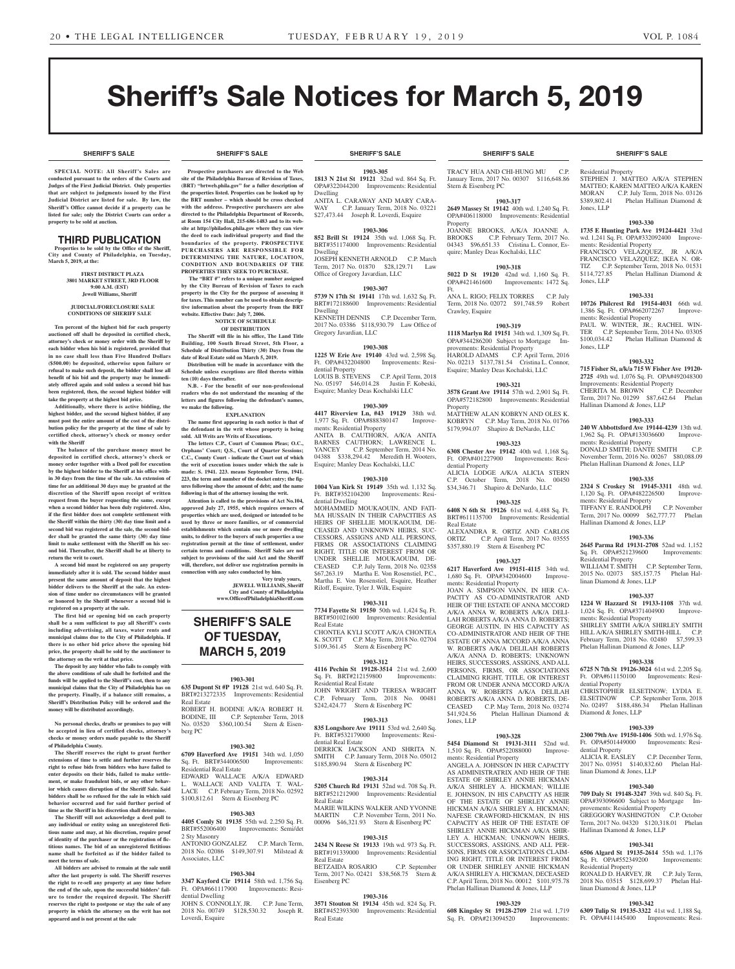**SHERIFF'S SALE SHERIFF'S SALE SHERIFF'S SALE SHERIFF'S SALE SHERIFF'S SALE**

# Sheriff's Sale Notices for March 5, 2019

**SPECIAL NOTE: All Sheriff 's Sales are conducted pursuant to the orders of the Courts and Judges of the First Judicial District. Only properties that are subject to judgments issued by the First Judicial District are listed for sale. By law, the Sheriff's Office cannot decide if a property can be listed for sale; only the District Courts can order a property to be sold at auction.** 

#### THIRD PUBLICATION

**Properties to be sold by the Office of the Sheriff, City and County of Philadelphia, on Tuesday, March 5, 2019, at the:** 

> **FIRST DISTRICT PLAZA 3801 MARKET STREET, 3RD FLOOR 9:00 A.M. (EST) Jewell Williams, Sheriff**

#### **JUDICIAL/FORECLOSURE SALE CONDITIONS OF SHERIFF SALE**

**Ten percent of the highest bid for each property auctioned off shall be deposited in certified check, attorney's check or money order with the Sheriff by each bidder when his bid is registered, provided that in no case shall less than Five Hundred Dollars (\$500.00) be deposited, otherwise upon failure or refusal to make such deposit, the bidder shall lose all benefit of his bid and the property may be immediately offered again and sold unless a second bid has been registered, then, the second highest bidder will take the property at the highest bid price.**

**Additionally, where there is active bidding, the highest bidder, and the second highest bidder, if any must post the entire amount of the cost of the distribution policy for the property at the time of sale by certified check, attorney's check or money order with the Sheriff**

 **The balance of the purchase money must be deposited in certified check, attorney's check or money order together with a Deed poll for execution by the highest bidder to the Sheriff at his office within 30 days from the time of the sale. An extension of time for an additional 30 days may be granted at the discretion of the Sheriff upon receipt of written request from the buyer requesting the same, except when a second bidder has been duly registered. Also, if the first bidder does not complete settlement with the Sheriff within the thirty (30) day time limit and a second bid was registered at the sale, the second bidder shall be granted the same thirty (30) day time limit to make settlement with the Sheriff on his second bid. Thereafter, the Sheriff shall be at liberty to return the writ to court.**

**A second bid must be registered on any property immediately after it is sold. The second bidder must present the same amount of deposit that the highest bidder delivers to the Sheriff at the sale. An extension of time under no circumstances will be granted or honored by the Sheriff whenever a second bid is registered on a property at the sale.** 

**The first bid or opening bid on each property shall be a sum sufficient to pay all Sheriff's costs including advertising, all taxes, water rents and municipal claims due to the City of Philadelphia. If there is no other bid price above the opening bid price, the property shall be sold by the auctioneer to the attorney on the writ at that price.**

**The deposit by any bidder who fails to comply with the above conditions of sale shall be forfeited and the funds will be applied to the Sheriff's cost, then to any municipal claims that the City of Philadelphia has on the property. Finally, if a balance still remains, a Sheriff's Distribution Policy will be ordered and the money will be distributed accordingly.**

**No personal checks, drafts or promises to pay will be accepted in lieu of certified checks, attorney's checks or money orders made payable to the Sheriff of Philadelphia County.**

**The Sheriff reserves the right to grant further extensions of time to settle and further reserves the right to refuse bids from bidders who have failed to enter deposits on their bids, failed to make settlement, or make fraudulent bids, or any other behavior which causes disruption of the Sheriff Sale. Said bidders shall be so refused for the sale in which said behavior occurred and for said further period of time as the Sheriff in his discretion shall determine.**

**The Sheriff will not acknowledge a deed poll to any individual or entity using an unregistered fictitious name and may, at his discretion, require proof of identity of the purchaser or the registration of fictitious names. The bid of an unregistered fictitious name shall be forfeited as if the bidder failed to meet the terms of sale.**

**All bidders are advised to remain at the sale until after the last property is sold. The Sheriff reserves the right to re-sell any property at any time before the end of the sale, upon the successful bidders' failure to tender the required deposit. The Sheriff reserves the right to postpone or stay the sale of any property in which the attorney on the writ has not appeared and is not present at the sale**

#### **SHERIFF'S SALE SHERIFF'S SALE SHERIFF'S SALE SHERIFF'S SALE SHERIFF'S SALE**

**Prospective purchasers are directed to the Web site of the Philadelphia Bureau of Revision of Taxes, (BRT) "brtweb.phila.gov" for a fuller description of the properties listed. Properties can be looked up by the BRT number – which should be cross checked with the address. Prospective purchasers are also directed to the Philadelphia Department of Records, at Room 154 City Hall, 215-686-1483 and to its website at http://philadox.phila.gov where they can view the deed to each individual property and find the boundaries of the property. PROSPECTIVE PURCHASERS ARE RESPONSIBLE FOR DETERMINING THE NATURE, LOCATION, CONDITION AND BOUNDARIES OF THE** 

**PROPERTIES THEY SEEK TO PURCHASE. The "BRT #" refers to a unique number assigned by the City Bureau of Revision of Taxes to each property in the City for the purpose of assessing it for taxes. This number can be used to obtain descriptive information about the property from the BRT website. Effective Date: July 7, 2006.**

**NOTICE OF SCHEDULE** 

**OF DISTRIBUTION The Sheriff will file in his office, The Land Title Building, 100 South Broad Street, 5th Floor, a Schedule of Distribution Thirty (30) Days from the date of Real Estate sold on March 5, 2019.**

**Distribution will be made in accordance with the Schedule unless exceptions are filed thereto within ten (10) days thereafter.**

**N.B. - For the benefit of our non-professional readers who do not understand the meaning of the letters and figures following the defendant's names, we make the following. EXPLANATION**

**The name first appearing in each notice is that of** 

**the defendant in the writ whose property is being sold. All Writs are Writs of Executions.**

**The letters C.P., Court of Common Pleas; O.C., Orphans' Court; Q.S., Court of Quarter Sessions; C.C., County Court - indicate the Court out of which the writ of execution issues under which the sale is made: S. 1941. 223. means September Term, 1941. 223, the term and number of the docket entry; the figures following show the amount of debt; and the name following is that of the attorney issuing the writ.**

**Attention is called to the provisions of Act No.104, approved July 27, 1955, which requires owners of properties which are used, designed or intended to be used by three or more families, or of commercial establishments which contain one or more dwelling units, to deliver to the buyers of such properties a use registration permit at the time of settlement, under certain terms and conditions. Sheriff Sales are not subject to provisions of the said Act and the Sheriff will, therefore, not deliver use registration permits in connection with any sales conducted by him. Very truly yours,**

**JEWELL WILLIAMS, Sheriff City and County of Philadelphia www.OfficeofPhiladelphiaSheriff.com**

# **SHERIFF'S SALE OF TUESDAY, MARCH 5, 2019**

#### **1903-301**

**635 Dupont St #P 19128** 21st wd. 640 Sq. Ft. BRT#213272335 Improvements: Residential Real Estate ROBERT H. BODINE A/K/A ROBERT H. BODINE, III C.P. September Term, 2018 No. 03520 \$360,100.54 Stern & Eisenberg PC

#### **1903-302**

**6709 Haverford Ave 19151** 34th wd. 1,050 Sq. Ft. BRT#344006500 Residential Real Estate EDWARD WALLACE A/K/A EDWARD L. WALLACE AND VALITA T. WAL-LACE C.P. February Term, 2018 No. 02592 \$100,812.61 Stern & Eisenberg PC

#### **1903-303**

**4405 Comly St 19135** 55th wd. 2,250 Sq. Ft. Improvements: Semi/det 2 Sty Masonry ANTONIO GONZALEZ C.P. March Term, 2018 No. 02086 \$149,307.91 Milstead & Associates, LLC

#### **1903-304**

**3347 Kayford Cir 19114** 58th wd. 1,756 Sq. Ft. OPA#661117900 Improvements: Residential Dwelling

JOHN S. CONNOLLY, JR. C.P. June Term, 2018 No. 00749 \$128,530.32 Joseph R. Loverdi, Esquire

**1903-305 1813 N 21st St 19121** 32nd wd. 864 Sq. Ft. OPA#322044200 Improvements: Residential

Dwelling ANITA L. CARAWAY AND MARY CARA-WAY C.P. January Term, 2018 No. 03221 \$27,473.44 Joseph R. Loverdi, Esquire

#### **1903-306**

**852 Brill St 19124** 35th wd. 1,068 Sq. Ft. BRT#351174000 Improvements: Residential Dwelling JOSEPH KENNETH ARNOLD C.P. March Term, 2017 No. 01870 \$28,129.71 Law Office of Gregory Javardian, LLC

#### **1903-307**

**5739 N 17th St 19141** 17th wd. 1,632 Sq. Ft. BRT#172188600 Improvements: Residential Dwelling KENNETH DENNIS C.P. December Term, 2017 No. 03386 \$118,930.79 Law Office of

Gregory Javardian, LLC **1903-308**

**1225 W Erie Ave 19140** 43rd wd. 2,598 Sq. Ft. OPA#432204800 Improvements: Residential Property LOUIS B. STEVENS C.P. April Term, 2018 No. 05197 \$46,014.28 Justin F. Kobeski, Esquire; Manley Deas Kochalski LLC

#### **1903-309**

**4417 Riverview Ln, #43 19129** 38th wd. 1,977 Sq. Ft. OPA#888380147 Improvements: Residential Property ANITA B. CAUTHORN, A/K/A ANITA BARNES CAUTHORN; LAWRENCE L.<br>YANCEY C.P. September Term, 2014 No. YANCEY C.P. September Term, 2014 No.<br>04388 \$338,294.42 Meredith H. Wooters, Meredith H. Wooters, Esquire; Manley Deas Kochalski, LLC

#### **1903-310**

**1004 Van Kirk St 19149** 35th wd. 1,132 Sq. Ft. BRT#352104200 Improvements: Residential Dwelling

MOHAMMED MOUKAOUIN, AND FATI-MA HUSSAIN IN THEIR CAPACITIES AS HEIRS OF SHELLIE MOUKAOUIM, DE-CEASED AND UNKNOWN HEIRS, SUC-CESSORS, ASSIGNS AND ALL PERSONS, FIRMS OR ASSOCIATIONS CLAIMING RIGHT, TITLE OR INTEREST FROM OR UNDER SHELLIE MOUKAOUIM, DE-CEASED C.P. July Term, 2018 No. 02358 \$67,263.19 Martha E. Von Rosenstiel, P.C., Martha E. Von Rosenstiel, Esquire, Heather Riloff, Esquire, Tyler J. Wilk, Esquire

#### **1903-311 7734 Fayette St 19150** 50th wd. 1,424 Sq. Ft.

BRT#501021600 Improvements: Residential Real Estate CHONTEA KYLI SCOTT A/K/A CHONTEA K. SCOTT C.P. May Term, 2018 No. 02704 \$109,361.45 Stern & Eisenberg PC

#### **1903-312**

**4116 Pechin St 19128-3514** 21st wd. 2,600 Sq. Ft. BRT#212159800 Improvements: Residential Real Estate

JOHN WRIGHT AND TERESA WRIGHT C.P. February Term, 2018 No. 00481 \$242,424.77 Stern & Eisenberg PC

#### **1903-313**

**835 Longshore Ave 19111** 53rd wd. 2,640 Sq. Ft. BRT#532179000 Improvements: Residential Real Estate DERRICK JACKSON AND SHRITA N. SMITH C.P. January Term, 2018 No. 05012 \$185,890.94 Stern & Eisenberg PC

#### **1903-314**

**5205 Church Rd 19131** 52nd wd. 708 Sq. Ft. BRT#521212900 Improvements: Residential Real Estate MARIE WILKINS WALKER AND YVONNE

MARTIN C.P. November Term, 2011 No. 00096 \$46,321.93 Stern & Eisenberg PC

**1903-315 2434 N Reese St 19133** 19th wd. 973 Sq. Ft. BRT#191339000 Improvements: Residential Real Estate

BETZAIDA ROSARIO C.P. September Term, 2017 No. 02421 \$38,568.75 Stern & Eisenberg PC

#### **1903-316**

**3571 Stouton St 19134** 45th wd. 824 Sq. Ft. BRT#452393300 Improvements: Residential Real Estate

TRACY HUA AND CHI-HUNG MU C.P. January Term, 2017 No. 00307 \$116,648.86 Stern & Eisenberg PC

### **1903-317**

**2649 Massey St 19142** 40th wd. 1,240 Sq. Ft. OPA#406118000 Improvements: Residential **Property** JOANNE BROOKS, A/K/A JOANNE A.

BROOKS C.P. February Term, 2017 No. 04343 \$96,651.33 Cristina L. Connor, Esquire; Manley Deas Kochalski, LLC

#### **1903-318**

**5022 D St 19120** 42nd wd. 1,160 Sq. Ft. OPA#421461600 Improvements: 1472 Sq. Ft. ANA L. RIGO; FELIX TORRES C.P. July Term, 2018 No. 02072 \$91,748.59 Robert

# Crawley, Esquire

**1903-319 1118 Marlyn Rd 19151** 34th wd. 1,309 Sq. Ft. OPA#344286200 Subject to Mortgage Improvements: Residential Property HAROLD ADAMS C.P. April Term, 2016 No. 02213 \$137,781.54 Cristina L. Connor, Esquire; Manley Deas Kochalski, LLC

#### **1903-321**

**3578 Grant Ave 19114** 57th wd. 2,901 Sq. Ft. OPA#572182800 Improvements: Residential Property MATTHEW ALAN KOBRYN AND OLES K. KOBRYN C.P. May Term, 2018 No. 01766 \$179,994.07 Shapiro & DeNardo, LLC

#### **1903-323**

**6308 Chester Ave 19142** 40th wd. 1,168 Sq. Ft. OPA#401227900 Improvements: Residential Property ALICIA LODGE A/K/A ALICIA STERN C.P. October Term, 2018 No. 00450 \$34,346.71 Shapiro & DeNardo, LLC

#### **1903-325**

**6408 N 6th St 19126** 61st wd. 4,488 Sq. Ft. BRT#611135700 Improvements: Residential Real Estate ALEXANDRA R. ORTIZ AND CARLOS ORTIZ C.P. April Term, 2017 No. 03555

\$357,880.19 Stern & Eisenberg PC **1903-327**

#### **6217 Haverford Ave 19151-4115** 34th wd. 1,680 Sq. Ft. OPA#342004600 ments: Residential Property

JOAN A. SIMPSON VANN, IN HER CA-PACITY AS CO-ADMINISTRATOR AND HEIR OF THE ESTATE OF ANNA MCCORD A/K/A ANNA W. ROBERTS A/K/A DELI-LAH ROBERTS A/K/A ANNA D. ROBERTS; GEORGE AUSTIN, IN HIS CAPACITY AS CO-ADMINISTRATOR AND HEIR OF THE ESTATE OF ANNA MCCORD A/K/A ANNA W. ROBERTS A/K/A DELILAH ROBERTS A/K/A ANNA D. ROBERTS; UNKNOWN HEIRS, SUCCESSORS, ASSIGNS, AND ALL PERSONS, FIRMS, OR ASSOCIATIONS CLAIMING RIGHT, TITLE, OR INTEREST FROM OR UNDER ANNA MCCORD A/K/A ANNA W. ROBERTS A/K/A DELILAH ROBERTS A/K/A ANNA D. ROBERTS, DE-CEASED C.P. May Term, 2018 No. 03274<br>\$41,924.56 Phelan Hallinan Diamond & Phelan Hallinan Diamond & Jones, LLP

# **1903-328**

**5454 Diamond St 19131-3111** 52nd wd.<br>1,510 Sq. Ft. OPA#522088000 Improve-1,510 Sq. Ft. OPA#522088000 ments: Residential Property

ANGELA A. JOHNSON IN HER CAPACITY AS ADMINISTRATRIX AND HEIR OF THE ESTATE OF SHIRLEY ANNIE HICKMAN A/K/A SHIRLEY A. HICKMAN; WILLIE E. JOHNSON, IN HIS CAPACITY AS HEIR OF THE ESTATE OF SHIRLEY ANNIE HICKMAN A/K/A SHIRLEY A. HICKMAN; NAFESE CRAWFORD-HICKMAN, IN HIS CAPACITY AS HEIR OF THE ESTATE OF SHIRLEY ANNIE HICKMAN A/K/A SHIR-LEY A. HICKMAN; UNKNOWN HEIRS, SUCCESSORS, ASSIGNS, AND ALL PER-SONS, FIRMS OR ASSOCIATIONS CLAIM-ING RIGHT, TITLE OR INTEREST FROM OR UNDER SHIRLEY ANNIE HICKMAN A/K/A SHIRLEY A. HICKMAN, DECEASED C.P. April Term, 2018 No. 00012 \$101,975.78 Phelan Hallinan Diamond & Jones, LLP

#### **1903-329**

**608 Kingsley St 19128-2709** 21st wd. 1,719<br>Sq. Ft. OPA#213094520 Improvements: Sq. Ft. OPA#213094520

Residential Property STEPHEN J. MATTEO A/K/A STEPHEN<br>MATTEO; KAREN MATTEO A/K/A KAREN MATTEO; KAREN MATTEO A/K/A KAREN MORAN C.P. July Term, 2018 No. 03126 \$389,802.41 Phelan Hallinan Diamond & Jones, LLP

#### **1903-330**

**1735 E Hunting Park Ave 19124-4421** 33rd wd. 1,241 Sq. Ft. OPA#332092400 Improvements: Residential Property FRANCISCO VELAZQUEZ, JR A/K/A FRANCISCO VELAZQUEZ; IKEA N. OR-

TIZ C.P. September Term, 2018 No. 01531<br>\$114.727.85 Phelan Hallinan Diamond & Phelan Hallinan Diamond & Jones, LLP

#### **1903-331**

Jones, LLP

CHERITA M. BROWN

ments: Residential Property

ments: Residential Property

Residential Property

dential Property

dential Property

Diamond & Jones, LLP

linan Diamond & Jones, LLP

GREGGORY WASHINGTON

Hallinan Diamond & Jones, LLP

linan Diamond & Jones, LLP

Residential Property

Hallinan Diamond & Jones, LLP

linan Diamond & Jones, LLP

Hallinan Diamond & Jones, LLP

**10726 Philcrest Rd 19154-4031** 66th wd. 1,386 Sq. Ft. OPA#662072267 Improvements: Residential Property PAUL W. WINTER, JR.; RACHEL WIN-

TER C.P. September Term, 2014 No. 03305<br>\$100,034.42 Phelan Hallinan Diamond &

**1903-332 715 Fisher St, a/k/a 715 W Fisher Ave 19120- 2725** 49th wd. 1,076 Sq. Ft. OPA#492048300 Improvements: Residential Property<br>CHERITA M. BROWN C.P. December

Term, 2017 No. 01299 \$87,642.64 Phelan

**1903-333 240 W Abbottsford Ave 19144-4239** 13th wd. 1,962 Sq. Ft. OPA#133036600 Improve-

DONALD SMITH; DANTE SMITH C.P. November Term, 2016 No. 00267 \$80,088.09 Phelan Hallinan Diamond & Jones, LLP **1903-335 2324 S Croskey St 19145-3311** 48th wd. 1,120 Sq. Ft. OPA#482226500 Improve-

TIFFANY E. RANDOLPH C.P. November Term, 2017 No. 00099 \$62,777.77 Phelan

**1903-336 2645 Parma Rd 19131-2708** 52nd wd. 1,152 Sq. Ft. OPA#521239600 Improvements:

WILLIAM T. SMITH C.P. September Term, 2015 No. 02073 \$85,157.75 Phelan Hal-

**1903-337 1224 W Hazzard St 19133-1108** 37th wd. 1,024 Sq. Ft. OPA#371404900 ments: Residential Property

SHIRLEY SMITH A/K/A SHIRLEY SMITH HILL A/K/A SHIRLEY SMITH-HILL C.P. February Term, 2018 No. 02480 \$7,599.33 Phelan Hallinan Diamond & Jones, LLP **1903-338 6725 N 7th St 19126-3024** 61st wd. 2,205 Sq. Ft. OPA#611150100 Improvements: Resi-

CHRISTOPHER ELSETINOW; LYDIA E.<br>ELSETINOW C.P. September Term, 2018 ELSETINOW C.P. September Term, 2018 No. 02497 \$188,486.34 Phelan Hallinan

**1903-339 2300 79th Ave 19150-1406** 50th wd. 1,976 Sq. Ft. OPA#501449000 Improvements: Resi-

ALICIA R. EASLEY C.P. December Term, 2017 No. 03951 \$140,832.60 Phelan Hal-

**1903-340 709 Daly St 19148-3247** 39th wd. 840 Sq. Ft. OPA#393096600 Subject to Mortgage Improvements: Residential Property<br>GREGGORY WASHINGTON C.P. October

Term, 2017 No. 04320 \$120,318.01 Phelan

**1903-341 6506 Algard St 19135-2614** 55th wd. 1,176 Sq. Ft. OPA#552349200 Improvements:

RONALD D. HARVEY, JR C.P. July Term, 2018 No. 03515 \$128,699.37 Phelan Hal-

**1903-342 6309 Tulip St 19135-3322** 41st wd. 1,188 Sq. Ft. OPA#411445400 Improvements: Resi-

Phelan Hallinan Diamond  $&$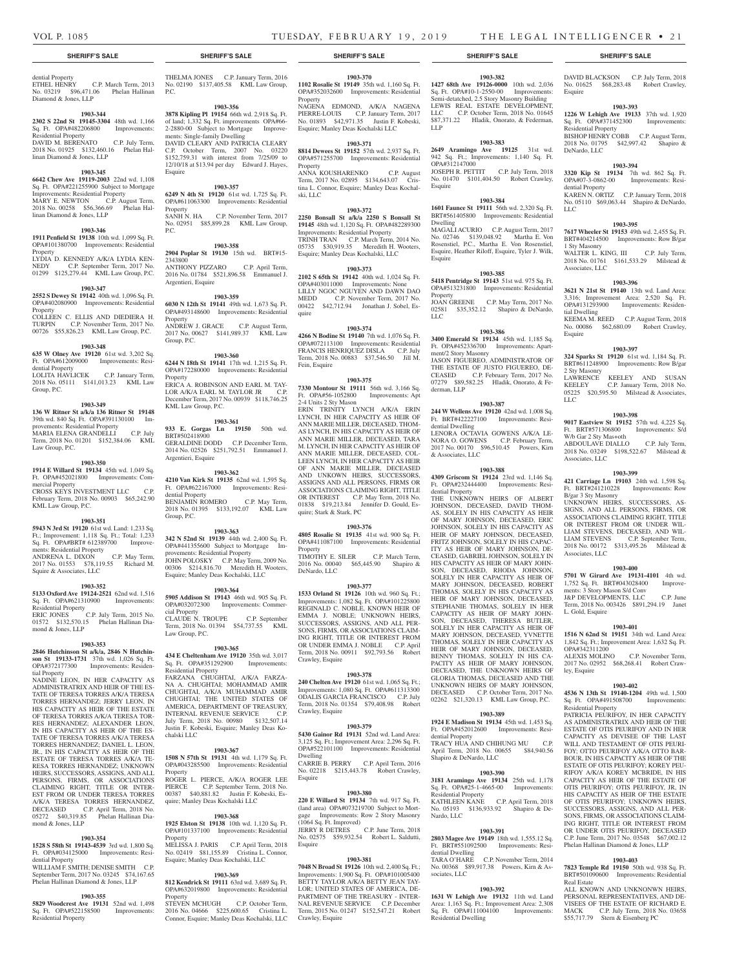Esquire

Dwelling

Esquire

LLC

Property<br>JOAN GREENE

ment/2 Story Masonry

derman, LLP

#### dential Property<br>ETHEL HENRY C.P. March Term, 2013 No. 03219 \$96,471.06 Phelan Hallinan

Diamond & Jones, LLP

#### **1903-344**

**2302 S 22nd St 19145-3304** 48th wd. 1,166 Sq. Ft. OPA#482206800 Improvements: Residential Property DAVID M. BERENATO C.P. July Term,

2018 No. 01925 \$132,460.16 Phelan Hallinan Diamond & Jones, LLP

# **1903-345**

**6642 Chew Ave 19119-2003** 22nd wd. 1,108 Sq. Ft. OPA#221255900 Subject to Mortgage Improvements: Residential Property MARY E. NEWTON C.P. August Term, 2018 No. 00258 \$56,366.69 Phelan Hallinan Diamond & Jones, LLP

#### **1903-346**

**1911 Penfield St 19138** 10th wd. 1,099 Sq. Ft. OPA#101380700 Improvements: Residential Property LYDIA D. KENNEDY A/K/A LYDIA KENNEDY C.P. September Term. 2017 No.

C.P. September Term, 2017 No. 01299 \$125,279.44 KML Law Group, P.C.

### **1903-347**

**2552 S Dewey St 19142** 40th wd. 1,096 Sq. Ft. OPA#402080900 Improvements: Residential Property COLLEEN C. ELLIS AND DIEDIERA H. TURPIN C.P. November Term, 2017 No.

00726 \$55,826.23 KML Law Group, P.C.

#### **1903-348 635 W Olney Ave 19120** 61st wd. 3,202 Sq.

Ft. OPA#612009000 Improvements: Residential Property LOLITA HAVLICEK C.P. January Term, 2018 No. 05111 \$141,013.23 KML Law Group, P.C.

#### **1903-349**

**136 W Ritner St a/k/a 136 Ritner St 19148**  39th wd. 840 Sq. Ft. OPA#391130100 Improvements: Residential Property MARIA ELENA GRANDELLI C.P. July Term, 2018 No. 01201 \$152,384.06 KML Law Group, P.C.

#### **1903-350**

**1914 E Willard St 19134** 45th wd. 1,049 Sq. Ft. OPA#452021800 Improvements: Commercial Property CROSS KEYS INVESTMENT LLC C.P. February Term, 2018 No. 00903 \$65,242.90 KML Law Group, P.C.

#### **1903-351**

**5943 N 3rd St 19120** 61st wd. Land: 1,233 Sq. Ft.; Improvement: 1,118 Sq. Ft.; Total: 1,233<br>Sq. Ft. OPA#BRT# 612389700 Improve-Sq. Ft. OPA#BRT# 612389700 Improve-ments: Residential Property ANDRENA L. DIXON C.P. May Term,

2017 No. 01553 \$78,119.55 Richard M. Squire & Associates, LLC

#### **1903-352**

**5133 Oxford Ave 19124-2521** 62nd wd. 1,516<br>
Sq. Ft. OPA#621310900 Improvements: Sq. Ft. OPA#621310900 Improvements: Residential Property ERIC JONES C.P. July Term, 2015 No. 01572 \$132,570.15 Phelan Hallinan Dia-ERIC JOINES<br>01572 \$132,570.15 Phelan Hallinan Dia-<br>mond & Jones, LLP

**1903-353 2846 Hutchinson St a/k/a, 2846 N Hutchin-**

**son St 19133-1731** 37th wd. 1,026 Sq. Ft. OPA#372177300 Improvements: Residen-

tial Property NADINE LEON, IN HER CAPACITY AS ADMINISTRATRIX AND HEIR OF THE ES-TATE OF TERESA TORRES A/K/A TERESA TORRES HERNANDEZ; JERRY LEON, IN HIS CAPACITY AS HEIR OF THE ESTATE OF TERESA TORRES A/K/A TERESA TOR-RES HERNANDEZ; ALEXANDER LEON, IN HIS CAPACITY AS HEIR OF THE ES-TATE OF TERESA TORRES A/K/A TERESA TORRES HERNANDEZ; DANIEL L. LEON,

JR., IN HIS CAPACITY AS HEIR OF THE ESTATE OF TERESA TORRES A/K/A TE-RESA TORRES HERNANDEZ; UNKNOWN HEIRS, SUCCESSORS, ASSIGNS, AND ALL PERSONS, FIRMS, OR ASSOCIATIONS CLAIMING RIGHT, TITLE OR INTER-EST FROM OR UNDER TERESA TORRES A/K/A TERESA TORRES HERNANDEZ, DECEASED C.P. April Term, 2018 No. 05272 \$40,319.85 Phelan Hallinan Diamond & Jones, LLP

#### **1903-354**

**1528 S 58th St 19143-4539** 3rd wd. 1,800 Sq. Ft. OPA#034125000 Improvements: Resi-

dential Property WILLIAM F. SMITH; DENISE SMITH C.P. September Term, 2017 No. 03245 \$74,167.65 Phelan Hallinan Diamond & Jones, LLP

#### **1903-355**

**5829 Woodcrest Ave 19131** 52nd wd. 1,498 Sq. Ft. OPA#522158500 Improvements: Residential Property

THELMA JONES C.P. January Term, 2016 No. 02190 \$137,405.58 KML Law Group, P.C.

**1903-356**

**3878 Kipling Pl 19154** 66th wd. 2,918 Sq. Ft. of land; 1,332 Sq. Ft. improvements OPA#66- 2-2880-00 Subject to Mortgage Improvements: Single-family Dwelling DAVID CLEARY AND PATRICIA CLEARY C.P. October Term, 2007 No. 03220 \$152,759.31 with interest from 7/25/09 to 12/10/18 at \$13.94 per day Edward J. Hayes, Esquire

#### **1903-357**

**6249 N 4th St 19120** 61st wd. 1,725 Sq. Ft. OPA#611063300 Improvements: Residential Property<br>SANH N. HA C.P. November Term, 2017 No. 02951 \$85,899.28 KML Law Group, P.C.

#### **1903-358**

**2904 Poplar St 19130** 15th wd. BRT#15- 2343800 ANTHONY PIZZARO C.P. April Term, 2016 No. 01784 \$521,896.58 Emmanuel J. Argentieri, Esquire

**1903-359**

#### **6030 N 12th St 19141** 49th wd. 1,673 Sq. Ft. OPA#493148600 Improvements: Residential **Property** ANDREW J. GRACE C.P. August Term,

2017 No. 00627 \$141,989.37 KML Law Group, P.C.

# **1903-360**

**6244 N 18th St 19141** 17th wd. 1,215 Sq. Ft. OPA#172280000 Improvements: Residential Property ERICA A. ROBINSON AND EARL M. TAY-LOR A/K/A EARL M. TAYLOR JR C.P. December Term, 2017 No. 00939 \$118,746.25 KML Law Group, P.C.

# **1903-361**

**933 E. Gorgas Ln 19150** 50th wd. BRT#502418900 GERALDINE DODD C.P. December Term, 2014 No. 02526 \$251,792.51 Emmanuel J. Argentieri, Esquire

#### **1903-362**

**4210 Van Kirk St 19135** 62nd wd. 1,595 Sq. Ft. OPA#622167000 Improvements: Residential Property BENJAMIN ROMERO C.P. May Term, 2018 No. 01395 \$133,192.07 KML Law Group, P.C.

#### **1903-363**

**342 N 52nd St 19139** 44th wd. 2,400 Sq. Ft. OPA#441355600 Subject to Mortgage Improvements: Residential Property JOHN POLOSKY C.P. May Term, 2009 No. 00306 \$214,816.70 Meredith H. Wooters, Esquire; Manley Deas Kochalski, LLC

#### **1903-364**

**5905 Addison St 19143** 46th wd. 905 Sq. Ft. OPA#032072300 Improvements: Commercial Property CLAUDE N. TROUPE C.P. September Term, 2018 No. 01394 \$54,737.55 KML Law Group, P.C.

### **1903-365**

**434 E Cheltenham Ave 19120** 35th wd. 3,017 Sq. Ft. OPA#351292900 Improvements: Residential Property FARZANA CHUGHTAI, A/K/A FARZA-NA A. CHUGHTAI; MOHAMMAD AMIR CHUGHTAI, A/K/A MUHAMMAD AMIR CHUGHTAI; THE UNITED STATES OF AMERICA, DEPARTMENT OF TREASURY, INTERNAL REVENUE SERVICE C.P. July Term, 2018 No. 00980 \$132,507.14

### **1903-367**

chalski LLC

**1508 N 57th St 19131** 4th wd. 1,179 Sq. Ft. OPA#043285500 Improvements: Residential Property

Justin F. Kobeski, Esquire; Manley Deas Ko-

ROGER L. PIERCE, A/K/A ROGER LEE<br>PIERCE C.P. September Term, 2018 No. PIERCE C.P. September Term, 2018 No. 00387 \$40,881.82 Justin F. Kobeski, Esquire; Manley Deas Kochalski LLC

#### **1903-368**

**1925 Elston St 19138** 10th wd. 1,120 Sq. Ft. OPA#101337100 Improvements: Residential Property MELISSA J. PARIS C.P. April Term, 2018

No. 02419 \$81,155.89 Cristina L. Connor, Esquire; Manley Deas Kochalski, LLC

#### **1903-369 812 Kendrick St 19111** 63rd wd. 3,689 Sq. Ft.

OPA#632019800 Improvements: Residential Property STEVEN MCHUGH C.P. October Term, 2016 No. 04666 \$225,600.65 Cristina L. Connor, Esquire; Manley Deas Kochalski, LLC

#### **SHERIFF'S SALE SHERIFF'S SALE SHERIFF'S SALE SHERIFF'S SALE SHERIFF'S SALE**

#### **1903-370**

**1102 Rosalie St 19149** 35th wd. 1,160 Sq. Ft. OPA#352032600 Improvements: Residential Property

NAGENA EDMOND, A/K/A NAGENA PIERRE-LOUIS C.P. January Term, 2017 No. 01893 \$42,971.35 Justin F. Kobeski,

**1903-371**

Esquire; Manley Deas Kochalski LLC

**8814 Dewees St 19152** 57th wd. 2,937 Sq. Ft. OPA#571255700 Improvements: Residential Property ANNA KOUSHARENKO C.P. August Term, 2017 No. 02895 \$134,643.07 Cris-

tina L. Connor, Esquire; Manley Deas Kochalski, LLC

#### **1903-372**

**2250 Bonsall St a/k/a 2250 S Bonsall St 19145** 48th wd. 1,120 Sq. Ft. OPA#482289300 Improvements: Residential Property TRINH TRAN C.P. March Term, 2014 No. 05735 \$30,919.35 Meredith H. Wooters, Esquire; Manley Deas Kochalski, LLC

#### **1903-373**

**2102 S 65th St 19142** 40th wd. 1,024 Sq. Ft. OPA#403011000 Improvements: None LILLY NGOC NGUYEN AND DAWN DAO<br>MEDD C.P. November Term, 2017 No. C.P. November Term, 2017 No. 00422 \$42,712.94 Jonathan J. Sobel, Esquire

#### **1903-374**

**4266 N Bodine St 19140** 7th wd. 1,076 Sq. Ft. OPA#072113100 Improvements: Residential FRANCIS HENRIQUEZ DISLA C.P. July Term, 2018 No. 00883 \$37,546.50 Jill M. Fein, Esquire

#### **1903-375**

**7330 Montour St 19111** 56th wd. 3,166 Sq. Ft. OPA#56-1052800 Improvements: Apt 2-4 Units 2 Sty Mason ERIN TRINITY LYNCH A/K/A ERIN LYNCH, IN HER CAPACITY AS HEIR OF ANN MARIE MILLER, DECEASED, THOM-AS LYNCH, IN HIS CAPACITY AS HEIR OF ANN MARIE MILLER, DECEASED, TARA M. LYNCH, IN HER CAPACITY AS HEIR OF ANN MARIE MILLER, DECEASED, COL-LEEN LYNCH, IN HER CAPACITY AS HEIR OF ANN MARIE MILLER, DECEASED AND UNKOWN HEIRS, SUCCESSORS, ASSIGNS AND ALL PERSONS, FIRMS OR ASSOCIATIONS CLAIMING RIGHT, TITLE OR INTEREST C.P. May Term, 2018 No. 01838 \$19,213.84 Jennifer D. Gould, Esquire; Stark & Stark, PC

#### **1903-376**

**4805 Rosalie St 19135** 41st wd. 900 Sq. Ft. OPA#411087100 Improvements: Residential Property

TIMOTHY E. SILER C.P. March Term, 2016 No. 00040 \$65,445.90 Shapiro & DeNardo, LLC

#### **1903-377**

**1533 Orland St 19126** 10th wd. 960 Sq. Ft.; Improvements: 1,082 Sq. Ft. OPA#101225800 REGINALD C. NOBLE, KNOWN HEIR OF EMMA J. NOBLE; UNKNOWN HEIRS, SUCCESSORS, ASSIGNS, AND ALL PER-SONS, FIRMS, OR ASSOCIATIONS CLAIM-ING RIGHT, TITLE OR INTEREST FROM OR UNDER EMMA J. NOBLE C.P. April Term, 2018 No. 00911 \$92,793.56 Robert Crawley, Esquire

#### **1903-378**

**240 Chelten Ave 19120** 61st wd. 1,065 Sq. Ft.; Improvements: 1,080 Sq. Ft. OPA#611313300 ODALIS GARCIA FRANCISCO C.P. July Term, 2018 No. 01354 \$79,408.98 Robert Crawley, Esquire

#### **1903-379**

**5430 Gainor Rd 19131** 52nd wd. Land Area: 3,125 Sq. Ft.; Improvement Area: 2,296 Sq. Ft. OPA#522101100 Improvements: Residential Dwelling CARRIE B. PERRY C.P. April Term, 2016

No. 02218 \$215,443.78 Robert Crawley, Esquire

#### **1903-380**

**220 E Willard St 19134** 7th wd. 917 Sq. Ft. (land area) OPA#073219700 Subject to Mortgage Improvements: Row 2 Story Masonry (1064 Sq. Ft. Improved)<br>JERRY R DETRES C.P. June Term, 2018 JERRY R DETRES C.P. June Term, 2018

No. 02575 \$59,932.54 Robert L. Saldutti, Esquire

#### **1903-381**

**7048 N Broad St 19126** 10th wd. 2,400 Sq. Ft.; Improvements: 1,900 Sq. Ft. OPA#101005400 BETTY TAYLOR A/K/A BETTY JEAN TAY-LOR; UNITED STATES OF AMERICA, DE-PARTMENT OF THE TREASURY - INTER-NAL REVENUE SERVICE C.P. December Term, 2015 No. 01247 \$152,547.21 Robert Crawley, Esquire

#### **1903-382**

**1427 68th Ave 19126-0000** 10th wd. 2,036 Sq. Ft. OPA#10-1-2550-00 Improvements: Semi-detatched, 2.5 Story Masonry Building LEWIS REAL ESTATE DEVELOPMENT,<br>LLC C.P. October Term, 2018 No. 01645 C.P. October Term, 2018 No. 01645 \$87,371.22 Hladik, Onorato, & Federman, LLP

DAVID BLACKSON C.P. July Term, 2018 No. 01625 \$68,283.48 Robert Crawley,

**1903-393 1226 W Lehigh Ave 19133** 37th wd. 1,920 Sq. Ft. OPA#371452300 Improvements:

BISHOP HENRY COBB C.P. August Term, 2018 No. 01795 \$42,997.42 Shapiro &

**1903-394 3320 Kip St 19134** 7th wd. 862 Sq. Ft. OPA#07-3-0862-00 Improvements: Resi-

KAREN N. ORTIZ C.P. January Term, 2018 No. 05110 \$69,063.44 Shapiro & DeNardo,

**1903-395 7617 Wheeler St 19153** 49th wd. 2,455 Sq. Ft. BRT#404214500 Improvements: Row B/gar

WALTER L. KING, III C.P. July Term, 2018 No. 01761 \$161,533.29 Milstead &

**1903-396 3621 N 21st St 19140** 13th wd. Land Area: 3,316; Improvement Area: 2,520 Sq. Ft. OPA#131293900 Improvements: Residen-

KEEMA M. REED C.P. August Term, 2018 No. 00086 \$62,680.09 Robert Crawley,

**1903-397 324 Sparks St 19120** 61st wd. 1,184 Sq. Ft. BRT#611248900 Improvements: Row B/gar

LAWRENCE KEELEY AND SUSAN<br>KEELEY C.P. January Term, 2018 No.

05225 \$20,595.50 Milstead & Associates,

**1903-398 9017 Eastview St 19152** 57th wd. 4,225 Sq. Ft. BRT#571306800 Improvements: S/d

ABDOULAVE DIALLO C.P. July Term, 2018 No. 03249 \$198,522.67 Milstead &

**1903-399 421 Carriage Ln 19103** 24th wd. 1,598 Sq. Ft. BRT#241210228 Improvements: Row

UNKNOWN HEIRS, SUCCESSORS, AS-SIGNS, AND ALL PERSONS, FIRMS, OR ASSOCIATIONS CLAIMING RIGHT, TITLE OR INTEREST FROM OR UNDER WIL-LIAM STEVENS, DECEASED, AND WIL-LIAM STEVENS C.P. September Term, 2018 No. 00172 \$313,495.26 Milstead &

**1903-400 5701 W Girard Ave 19131-4101** 4th wd. 1,752 Sq. Ft. BRT#043028400 Improve-

J&P DEVELOPMENTS, LLC C.P. June Term, 2018 No. 003426 \$891,294.19 Janet

**1903-401 1516 N 62nd St 19151** 34th wd. Land Area: 1,842 Sq. Ft.; Improvement Area: 1,632 Sq. Ft.

ALEXIS MOLINO C.P. November Term, 2017 No. 02952 \$68,268.41 Robert Craw-

**1903-402 4536 N 13th St 19140-1204** 49th wd. 1,500 Sq. Ft. OPA#491508700 Improvements:

PATRICIA PEURIFOY, IN HER CAPACITY AS ADMINISTRATRIX AND HEIR OF THE ESTATE OF OTIS PEURIFOY AND IN HER CAPACITY AS DEVISEE OF THE LAST WILL AND TESTAMENT OF OTIS PEURI-FOY; OTTO PEURIFOY A/K/A OTTO BAR-BOUR, IN HIS CAPACITY AS HEIR OF THE ESTATE OF OTIS PEURIFOY; KOREY PEU-RIFOY A/K/A KOREY MCBRIDE, IN HIS CAPACITY AS HEIR OF THE ESTATE OF OTIS PEURIFOY; OTIS PEURIFOY, JR, IN HIS CAPACITY AS HEIR OF THE ESTATE OF OTIS PEURIFOY; UNKNOWN HEIRS, SUCCESSORS, ASSIGNS, AND ALL PER-SOCCESSORS, ASSIGNS, AND ALL TERNS ING RIGHT, TITLE OR INTEREST FROM OR UNDER OTIS PEURIFOY, DECEASED C.P. June Term, 2017 No. 03548 \$67,002.12 Phelan Hallinan Diamond & Jones, LLP **1903-403 7823 Temple Rd 19150** 50th wd. 938 Sq. Ft. BRT#501090600 Improvements: Residential

ALL KNOWN AND UNKNONWN HEIRS, PERSONAL REPRESENTATIVES, AND DE-VISEES OF THE ESTATE OF RICHARD E. MACK C.P. July Term, 2018 No. 03658 \$55,717.79 Stern & Eisenberg PC

ments: 3 Story Mason S/d Conv

C.P. January Term, 2018 No.

Esquire

Residential Property

DeNardo, LLC

dential Property

1 Sty Masonry

Associates, LLC

tial Dwelling

2 Sty Masonry

W/b Gar 2 Sty Mas+oth

Associates, LLC

B/gar 3 Sty Masonry

Associates, LLC

L. Gold, Esquire

OPA#342311200

Residential Property

ley, Esquire

Real Estate

Esquire

LLC

 $LI$ 

#### **1903-383 2649 Aramingo Ave 19125** 31st wd.

942 Sq. Ft.; Improvements: 1,140 Sq. Ft. OPA#312147000 JOSEPH R. PETTIT C.P. July Term, 2018 No. 01470 \$101,404.50 Robert Crawley,

**1903-384 1601 Faunce St 19111** 56th wd. 2,320 Sq. Ft. BRT#561405800 Improvements: Residential

MAGALI ACURIO C.P. August Term, 2017 No. 02746 \$139,048.92 Martha E. Von Rosenstiel, P.C., Martha E. Von Rosenstiel, Esquire, Heather Riloff, Esquire, Tyler J. Wilk,

**1903-385 5418 Pentridge St 19143** 51st wd. 975 Sq. Ft. OPA#513231800 Improvements: Residential

02581 \$35,352.12 Shapiro & DeNardo,

**1903-386 3400 Emerald St 19134** 45th wd. 1,185 Sq. Ft. OPA#452336700 Improvements: Apart-

JASON FIGUEREO, ADMINISTRATOR OF THE ESTATE OF JUSTO FIGUEREO, DE-CEASED C.P. February Term, 2017 No. 07279 \$89,582.25 Hladik, Onorato, & Fe-

**1903-387 244 W Wellens Ave 19120** 42nd wd. 1,008 Sq. Ft. BRT#422227100 Improvements: Residential Dwelling LENORA OCTAVIA GOWENS A/K/A LE-

NORA O. GOWENS C.P. February Term, 2017 No. 00170 \$96,510.45 Powers, Kirn & Associates, LLC

**1903-388 4309 Griscom St 19124** 23rd wd. 1,146 Sq. Ft. OPA#232444400 Improvements: Residential Property THE UNKNOWN HEIRS OF ALBERT JOHNSON, DECEASED, DAVID THOM-AS, SOLELY IN HIS CAPACITY AS HEIR OF MARY JOHNSON, DECEASED, ERIC JOHNSON, SOLELY IN HIS CAPACITY AS HEIR OF MARY JOHNSON, DECEASED, FRITZ JOHNSON, SOLELY IN HIS CAPAC-ITY AS HEIR OF MARY JOHNSON, DE-CEASED, GABRIEL JOHNSON, SOLELY IN HIS CAPACITY AS HEIR OF MARY JOHN-SON, DECEASED, RHODA JOHNSON, SOLELY IN HER CAPACITY AS HEIR OF MARY JOHNSON, DECEASED, ROBERT THOMAS, SOLELY IN HIS CAPACITY AS HEIR OF MARY JOHNSON, DECEASED, STEPHANIE THOMAS, SOLELY IN HER CAPACITY AS HEIR OF MARY JOHN-SON, DECEASED, THERESA BUTLER, SOLELY IN HER CAPACITY AS HEIR OF MARY JOHNSON, DECEASED, YVNETTE THOMAS, SOLELY IN HER CAPACITY AS HEIR OF MARY JOHNSON, DECEASED, BENNY THOMAS, SOLELY IN HIS CA-PACITY AS HEIR OF MARY JOHNSON, DECEASED, THE UNKNOWN HEIRS OF GLORIA THOMAS, DECEASED AND THE UNKNOWN HEIRS OF MARY JOHNSON, DECEASED C.P. October Term, 2017 No. 02262 \$21,320.13 KML Law Group, P.C. **1903-389 1924 E Madison St 19134** 45th wd. 1,453 Sq. Ft. OPA#452012600 Improvements: Residential Property TRACY HUA AND CHIHUNG MU C.P. April Term, 2018 No. 00655 \$84,940.56

Shapiro & DeNardo, LLC

Residential Property<br>KATHLEEN KANE

Nardo, LLC

dential Dwelling<br>TARA O'HARE

sociates, LLC

Residential Dwelling

**1903-390 3181 Aramingo Ave 19134** 25th wd. 1,178 Sq. Ft. OPA#25-1-4665-00 Improvements:

No. 05193 \$136,933.92 Shapiro & De-

**1903-391 2803 Magee Ave 19149** 18th wd. 1,555.12 Sq. Ft. BRT#551092500 Improvements: Resi-

No. 00368 \$89,917.38 Powers, Kirn & As-

**1903-392 1631 W Lehigh Ave 19132** 11th wd. Land Area: 1,163 Sq. Ft.; Improvement Area: 2,308 Sq. Ft. OPA#111004100 Improvements:

C.P. April Term, 2018

C.P. November Term, 2014

C.P. May Term, 2017 No.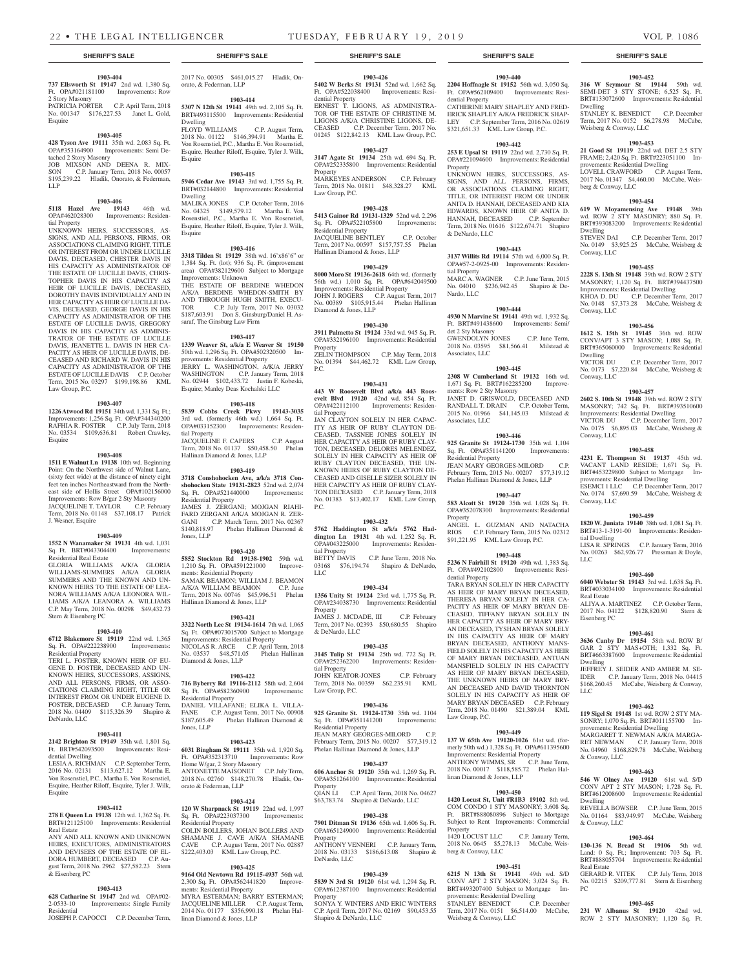#### **1903-404**

**737 Ellsworth St 19147** 2nd wd. 1,380 Sq. Ft. OPA#021181100 Improvements: Row 2 Story Masonry PATRICIA PORTER C.P. April Term, 2018 No. 001347 \$176,227.53 Janet L. Gold, Esquire

### **1903-405**

**428 Tyson Ave 19111** 35th wd. 2,083 Sq. Ft. OPA#353164900 Improvements: Semi Detached 2 Story Masonry JOB MIXSON AND DEENA R. MIX-SON C.P. January Term, 2018 No. 00057 \$195,239.22 Hladik, Onorato, & Federman, LLP

### **1903-406**

**5118 Hazel Ave 19143** 46th wd. OPA#462028300 Improvements: Residential Property

UNKNOWN HEIRS, SUCCESSORS, AS-SIGNS, AND ALL PERSONS, FIRMS, OR ASSOCIATIONS CLAIMING RIGHT, TITLE OR INTEREST FROM OR UNDER LUCILLE DAVIS, DECEASED, CHESTER DAVIS IN HIS CAPACITY AS ADMINISTRATOR OF THE ESTATE OF LUCILLE DAVIS, CHRIS-TOPHER DAVIS IN HIS CAPACITY AS HEIR OF LUCILLE DAVIS, DECEASED, DOROTHY DAVIS INDIVIDUALLY AND IN HER CAPACITY AS HEIR OF LUCILLE DA-VIS, DECEASED, GEORGE DAVIS IN HIS CAPACITY AS ADMINISTRATOR OF THE ESTATE OF LUCILLE DAVIS, GREGORY DAVIS IN HIS CAPACITY AS ADMINIS-TRATOR OF THE ESTATE OF LUCILLE DAVIS, JEANETTE L. DAVIS IN HER CA-PACITY AS HEIR OF LUCILLE DAVIS, DE-CEASED AND RICHARD W. DAVIS IN HIS CAPACITY AS ADMINISTRATOR OF THE ESTATE OF LUCILLE DAVIS C.P. October Term, 2015 No. 03297 \$199,198.86 KML Law Group, P.C.

#### **1903-407**

**1226 Atwood Rd 19151** 34th wd. 1,331 Sq. Ft.; Improvements: 1,256 Sq. Ft. OPA#344340200 RAFHIA R. FOSTER C.P. July Term, 2018 No. 03534 \$109,636.81 Robert Crawley, Esquire

#### **1903-408**

**1511 E Walnut Ln 19138** 10th wd. Beginning Point: On the Northwest side of Walnut Lane, (sixty feet wide) at the distance of ninety eight feet ten inches Northeastward from the Northeast side of Hollis Street OPA#102156000 Improvements: Row B/gar 2 Sty Masonry JACQUELINE T. TAYLOR C.P. February Term, 2018 No. 01148 \$37,108.17 Patrick J. Wesner, Esquire

#### **1903-409**

**1552 N Wanamaker St 19131** 4th wd. 1,031 Sq. Ft. BRT#043304400 Improvements: Residential Real Estate GLORIA WILLIAMS A/K/A GLORIA WILLIAMS-SUMMERS A/K/A GLORIA SUMMERS AND THE KNOWN AND UN-KNOWN HEIRS TO THE ESTATE OF LEA-NORA WILLIAMS A/K/A LEONORA WIL-LIAMS A/K/A LEANORA A. WILLIAMS C.P. May Term, 2018 No. 00298 \$49,432.73 Stern & Eisenberg PC

#### **1903-410**

**6712 Blakemore St 19119** 22nd wd. 1,365 Sq. Ft. OPA#222238900 Improvements: Residential Property

TERI L. FOSTER, KNOWN HEIR OF EU-GENE D. FOSTER, DECEASED AND UN-KNOWN HEIRS, SUCCESSORS, ASSIGNS, AND ALL PERSONS, FIRMS, OR ASSO-CIATIONS CLAIMING RIGHT, TITLE OR INTEREST FROM OR UNDER EUGENE D. FOSTER, DECEASED C.P. January Term, 2018 No. 04409 \$115,326.39 Shapiro & DeNardo, LLC

#### **1903-411**

**2142 Brighton St 19149** 35th wd. 1,801 Sq. Ft. BRT#542093500 Improvements: Residential Dwelling

LESIA A. RICHMAN C.P. September Term, 2016 No. 02131 \$113,627.12 Martha E. Von Rosenstiel, P.C., Martha E. Von Rosenstiel, Esquire, Heather Riloff, Esquire, Tyler J. Wilk, Esquire

# **1903-412**

**278 E Queen Ln 19138** 12th wd. 1,362 Sq. Ft. BRT#121125100 Improvements: Residential Real Estate ANY AND ALL KNOWN AND UNKNOWN

HEIRS, EXECUTORS, ADMINISTRATORS AND DEVISEES OF THE ESTATE OF EL-DORA HUMBERT, DECEASED C.P. August Term, 2018 No. 2962 \$27,582.23 Stern & Eisenberg PC

#### **1903-413**

**628 Catharine St 19147** 2nd wd. OPA#02-<br>2-0533-10 Improvements: Single Family Improvements: Single Family Residential JOSEPH P. CAPOCCI C.P. December Term,

2017 No. 00305 \$461,015.27 Hladik, Onorato, & Federman, LLP

**1903-414 5307 N 12th St 19141** 49th wd. 2,105 Sq. Ft.

BRT#493115500 Improvements: Residential Dwelling FLOYD WILLIAMS C.P. August Term, 2018 No. 01122 \$146,394.91 Martha E. Von Rosenstiel, P.C., Martha E. Von Rosenstiel, Esquire, Heather Riloff, Esquire, Tyler J. Wilk, Esquire

#### **1903-415**

**5946 Cedar Ave 19143** 3rd wd. 1,755 Sq. Ft. BRT#032144800 Improvements: Residential Dwelling MALIKA JONES C.P. October Term, 2016

#### No. 04325 \$149,579.12 Martha E. Von Rosenstiel, P.C., Martha E. Von Rosenstiel, Esquire, Heather Riloff, Esquire, Tyler J. Wilk, Esquire

#### **1903-416**

**3318 Tilden St 19129** 38th wd. 16'x86'6" or 1,384 Sq. Ft. (lot); 936 Sq. Ft. (improvement area) OPA#382129600 Subject to Mortgage Improvements: Unknown

THE ESTATE OF BERDINE WHEDON A/K/A BERDINE WHEDON-SMITH BY AND THROUGH HUGH SMITH, EXECU-<br>TOR C.P. July Term. 2017 No. 03032 C.P. July Term, 2017 No. 03032 \$187,603.91 Don S. Ginsburg/Daniel H. Assaraf, The Ginsburg Law Firm

#### **1903-417**

**1339 Weaver St, a/k/a E Weaver St 19150**  50th wd. 1,296 Sq. Ft. OPA#502320500 Improvements: Residential Property JERRY L. WASHINGTON, A/K/A JERRY WASHINGTON C.P. January Term, 2018 No. 02944 \$102,433.72 Justin F. Kobeski, Esquire; Manley Deas Kochalski LLC

#### **1903-418**

**5839 Cobbs Creek Pkwy 19143-3035**  3rd wd. (formerly 46th wd.) 1,664 Sq. Ft. OPA#033152300 Improvements: Residential Property<br>JACQUELINE F. CAPERS JACQUELINE F. CAPERS C.P. August Term, 2018 No. 01137 \$50,458.50 Phelan Hallinan Diamond & Jones, LLP

#### **1903-419**

**3718 Conshohocken Ave, a/k/a 3718 Conshohocken State 19131-2823** 52nd wd. 2,074 Sq. Ft. OPA#521440000 Improvements: Residential Property JAMES J. ZERGANI; MOJGAN RIAHI-FARD ZERGANI A/K/A MOJGAN R. ZER-GANI C.P. March Term, 2017 No. 02367 \$140,818.97 Phelan Hallinan Diamond & Jones, LLP

#### **1903-420**

**5852 Stockton Rd 19138-1902** 59th wd. 1,210 Sq. Ft. OPA#591221000 Improvements: Residential Property SAMAK BEAMON; WILLIAM J. BEAMON A/K/A WILLIAM BEAMON C.P. June Term, 2018 No. 00746 \$45,996.51 Phelan Hallinan Diamond & Jones, LLP

#### **1903-421**

**3322 North Lee St 19134-1614** 7th wd. 1,065 Sq. Ft. OPA#073015700 Subject to Mortgage Improvements: Residential Property NICOLAS R. ARCE C.P. April Term, 2018 No. 03537 \$48,571.05 Phelan Hallinan Diamond & Jones, LLP

#### **1903-422**

**716 Byberry Rd 19116-2112** 58th wd. 2,604 Sq. Ft. OPA#582360900 Improvements: Residential Property DANIEL VILLAFANE; ELIKA L. VILLA-FANE C.P. August Term, 2017 No. 00908 \$187,605.49 Phelan Hallinan Diamond & Jones, LLP

**1903-423 6031 Bingham St 19111** 35th wd. 1,920 Sq. Ft. OPA#352313710 Home W/gar, 2 Story Masonry<br>ANTONETTE MAISONET C.P. July Term. ANTONETTE MAISONET 2018 No. 02760 \$148,270.78 Hladik, Onorato & Federman, LLP

#### **1903-424**

**120 W Sharpnack St 19119** 22nd wd. 1,997 Sq. Ft. OPA#223037300 Improvements: Residential Property COLIN BOLLERS, JOHAN BOLLERS AND SHAMANE J. CAVE A/K/A SHAMANE CAVE C.P. August Term, 2017 No. 02887 \$222,403.03 KML Law Group, P.C.

#### **1903-425**

**9164 Old Newtown Rd 19115-4937** 56th wd. 2,300 Sq. Ft. OPA#562441820 ments: Residential Property MYRA ESTERMAN; BARRY ESTERMAN; JACQUELINE MILLER C.P. August Term, 2014 No. 01177 \$356,990.18 Phelan Hallinan Diamond & Jones, LLP

#### **1903-426 5402 W Berks St 19131** 52nd wd. 1,662 Sq.

Ft. OPA#522038400 Improvements: Residential Property ERNEST T. LIGONS, AS ADMINISTRA-TOR OF THE ESTATE OF CHRISTINE M. LIGONS A/K/A CHRISTINE LIGONS, DE-CEASED C.P. December Term, 2017 No. 01245 \$122,842.13 KML Law Group, P.C.

**1903-427 3147 Agate St 19134** 25th wd. 694 Sq. Ft. OPA#252335800 Improvements: Residential Property

MARKEYES ANDERSON C.P. February Term, 2018 No. 01811 \$48,328.27 KML Law Group, P.C.

#### **1903-428 5413 Gainor Rd 19131-1329** 52nd wd. 2,296

Sq. Ft. OPA#522105800 Improvements: Residential Property JACQUELINE BENTLEY C.P. October Term, 2017 No. 00597 \$157,757.55 Phelan Hallinan Diamond & Jones, LLP

#### **1903-429**

**8000 Moro St 19136-2618** 64th wd. (formerly 56th wd.) 1,010 Sq. Ft. OPA#642049500 Improvements: Residential Property JOHN J. ROGERS C.P. August Term, 2017 No. 00389 \$105,915.44 Phelan Hallinan Diamond & Jones, LLP

#### **1903-430**

**3911 Palmetto St 19124** 33rd wd. 945 Sq. Ft. OPA#332196100 Improvements: Residential Property ZELIN THOMPSON C.P. May Term, 2018 No. 01394 \$44,462.72 KML Law Group, P.C.

#### **1903-431**

**443 W Roosevelt Blvd a/k/a 443 Roosevelt Blvd 19120** 42nd wd. 854 Sq. Ft. OPA#422112100 Improvements: Residential Property JAN CLAYTON SOLELY IN HER CAPAC-ITY AS HEIR OF RUBY CLAYTON DE-CEASED, TASSNEE JONES SOLELY IN HER CAPACITY AS HEIR OF RUBY CLAY-TON, DECEASED, DELORES MELENDEZ,

SOLELY IN HER CAPACITY AS HEIR OF RUBY CLAYTON DECEASED, THE UN-KNOWN HEIRS OF RUBY CLAYTON DE-CEASED AND GISELLE SIZER SOLELY IN HER CAPACITY AS HEIR OF RUBY CLAY-TON DECEASED C.P. January Term, 2018 No. 01383 \$13,402.17 KML Law Group, P.C.

#### **1903-432**

**5762 Haddington St a/k/a 5762 Haddington Ln 19131** 4th wd. 1,252 Sq. Ft. OPA#043225000 Improvements: Residential Property C.P. June Term, 2018 No.

03168 \$76,194.74 Shapiro & DeNardo,

## **1903-434**

LLC

**1356 Unity St 19124** 23rd wd. 1,775 Sq. Ft. OPA#234038730 Improvements: Residential Property

JAMES J. MCDADE, III C.P. February Term, 2017 No. 02393 \$50,680.55 Shapiro & DeNardo, LLC

#### **1903-435**

**3145 Tulip St 19134** 25th wd. 772 Sq. Ft. OPA#252362200 Improvements: Residential Property JOHN KEATOR-JONES C.P. February Term, 2018 No. 00359 \$62,235.91 KML Law Group, P.C.

#### **1903-436**

**925 Granite St. 19124-1730** 35th wd. 1104 Sq. Ft. OPA#351141200 Improvements: Residential Property **JEAN MARY GEORGES-MILORD** C.P February Term, 2015 No. 00207 \$77,319.12

# Phelan Hallinan Diamond & Jones, LLP **1903-437**

**606 Anchor St 19120** 35th wd. 1,269 Sq. Ft. OPA#351264100 Improvements: Residential Property QIAN LI C.P. April Term, 2018 No. 04627 \$63,783.74 Shapiro & DeNardo, LLC

# **1903-438**

**7901 Ditman St 19136** 65th wd. 1,606 Sq. Ft. OPA#651249000 Improvements: Residential Property ANTHONY VENNERI C.P. January Term, 2018 No. 03133 \$186,613.08 Shapiro & DeNardo, LLC

#### **1903-439**

**5839 N 3rd St 19120** 61st wd. 1,294 Sq. Ft. OPA#612387100 Improvements: Residential Property SONYA Y. WINTERS AND ERIC WINTERS C.P. April Term, 2017 No. 02169 \$90,453.55 Shapiro & DeNardo, LLC

#### **SHERIFF'S SALE SHERIFF'S SALE SHERIFF'S SALE SHERIFF'S SALE SHERIFF'S SALE**

**1903-452 316 W Seymour St 19144** 59th wd. SEMI-DET 3 STY STONE; 6,525 Sq. Ft. BRT#133072600 Improvements: Residential

STANLEY K. BENEDICT C.P. December Term, 2017 No. 0152 \$6,278.98 McCabe,

**1903-453 21 Good St 19119** 22nd wd. DET 2.5 STY FRAME; 2,420 Sq. Ft. BRT#223051100 Im-

LOVELL CRAWFORD C.P. August Term, 2017 No. 01347 \$4,460.00 McCabe, Weis-

**1903-454 619 W Moyamensing Ave 19148** 39th wd. ROW 2 STY MASONRY; 880 Sq. Ft. BRT#393083200 Improvements: Residential

No. 0149 \$3,925.25 McCabe, Weisberg &

**1903-455 2228 S. 13th St 19148** 39th wd. ROW 2 STY MASONRY; 1,120 Sq. Ft. BRT#394437500 Improvements: Residential Dwelling<br>KHOA D. DU C.P. December Term, 2017 KHOA D. DU C.P. December Term, 2017 No. 0148 \$7,373.28 McCabe, Weisberg &

**1903-456 1612 S. 15th St 19145** 36th wd. ROW CONV/APT 3 STY MASON; 1,088 Sq. Ft. BRT#365060000 Improvements: Residential

No. 0173 \$7,220.84 McCabe, Weisberg &

**1903-457 2602 S. 10th St 19148** 39th wd. ROW 2 STY MASONRY; 742 Sq. Ft. BRT#393510600 Improvements: Residential Dwelling VICTOR DU C.P. December Term, 2017 No. 0175 \$6,895.03 McCabe, Weisberg &

**1903-458 4231 E. Thompson St 19137** 45th wd. VACANT LAND RESIDE; 1,671 Sq. Ft. BRT#453229800 Subject to Mortgage Im-

ESEMCI 1 LLC C.P. December Term, 2017 No. 0174 \$7,690.59 McCabe, Weisberg &

**1903-459 1820 W. Juniata 19140** 38th wd. 1,081 Sq. Ft. BRT#13-1-3191-00 Improvements: Residen-

LISA R. SPRINGS C.P. January Term, 2016 No. 00263 \$62,926.77 Pressman & Doyle,

**1903-460 6040 Webster St 19143** 3rd wd. 1,638 Sq. Ft. BRT#033034100 Improvements: Residential

ALIYA A. MARTINEZ C.P. October Term, 2017 No. 04122 \$128,820.90 Stern &

**1903-461 3636 Canby Dr 19154** 58th wd. ROW B/ GAR 2 STY MAS+OTH; 1,332 Sq. Ft. BRT#663387600 Improvements: Residential

JEFFREY J. SEIDER AND AMBER M. SE-IDER C.P. January Term, 2018 No. 04415 \$168,260.45 McCabe, Weisberg & Conway,

**1903-462 119 Sigel St 19148** 1st wd. ROW 2 STY MA-SONRY; 1,070 Sq. Ft. BRT#011155700 Improvements: Residential Dwelling

MARGARET T. NEWMAN A/K/A MARGA-RET NEWMAN C.P. January Term, 2018 No. 04960 \$168,829.78 McCabe, Weisberg

**1903-463 546 W Olney Ave 19120** 61st wd. S/D CONV APT 2 STY MASON; 1,728 Sq. Ft. BRT#612008600 Improvements: Residential

REVELLA BOWSER C.P. June Term, 2015 No. 01164 \$83,949.97 McCabe, Weisberg

**1903-464 130-136 N. Bread St 19106** 5th wd. Land: 0 Sq. Ft.; Improvement: 703 Sq. Ft. BRT#888055704 Improvements: Residential

GERARD R. VITEK C.P. July Term, 2018 No. 02215 \$209,777.81 Stern & Eisenberg

**1903-465 231 W Albanus St 19120** 42nd wd. ROW 2 STY MASONRY; 1,120 Sq. Ft.

provements: Residential Dwelling

C.P. December Term, 2017

C.P. December Term, 2017

Dwelling

Weisberg & Conway, LLC

berg & Conway, LLC

Dwelling<br>STEVEN DAI

Conway, LLC

Conway, LLC

Dwelling<br>VICTOR DLL

Conway, LLC

Conway, LLC

Conway, LLC

tial Dwelling

Real Estate

Eisenberg PC

Dwelling

& Conway, LLC

& Conway, LLC

Real Estate

PC

Dwelling

LLC

LLC

provements: Residential Dwelling

**1903-440 2204 Hoffnagle St 19152** 56th wd. 3,050 Sq. Ft. OPA#562109400 Improvements: Residential Property CATHERINE MARY SHAPLEY AND FRED-ERICK SHAPLEY A/K/A FREDRICK SHAP-LEY C.P. September Term, 2016 No. 02619 \$321,651.33 KML Law Group, P.C.

#### **1903-442**

**253 E Upsal St 19119** 22nd wd. 2,730 Sq. Ft. OPA#221094600 Improvements: Residential Property

UNKNOWN HEIRS, SUCCESSORS, AS-SIGNS, AND ALL PERSONS, FIRMS, OR ASSOCIATIONS CLAIMING RIGHT, TITLE, OR INTEREST FROM OR UNDER ANITA D. HANNAH, DECEASED AND KIA EDWARDS, KNOWN HEIR OF ANITA D. HANNAH, DECEASED C.P. September Term, 2018 No. 01616 \$122,674.71 Shapiro & DeNardo, LLC

#### **1903-443**

**3137 Willits Rd 19114** 57th wd. 6,000 Sq. Ft. OPA#57-2-0925-00 Improvements: Residential Property MARC A. WAGNER C.P. June Term, 2015

No. 04010 \$236,942.45 Shapiro & De-Nardo, LLC

#### **1903-444 4930 N Marvine St 19141** 49th wd. 1,932 Sq.

Ft. BRT#491438600 Improvements: Semi/ det 2 Sty Masonry GWENDOLYN JONES C.P. June Term, 2018 No. 03595 \$81,566.41 Milstead & Associates, LLC

#### **1903-445**

**2308 W Cumberland St 19132** 16th wd. 1,671 Sq. Ft. BRT#162285200 Improvements: Row 2 Sty Masonry JANET D. GRISWOLD, DECEASED AND RANDALL T. DRAIN C.P. October Term, 2015 No. 01966 \$41,145.03 Milstead & Associates, LLC

#### **1903-446**

**925 Granite St 19124-1730** 35th wd. 1,104 Sq. Ft. OPA#351141200 Improvements: Residential Property JEAN MARY GEORGES-MILORD C.P. February Term, 2015 No. 00207 \$77,319.12

Phelan Hallinan Diamond & Jones, LLP **1903-447 583 Alcott St 19120** 35th wd. 1,028 Sq. Ft.

OPA#352078300 Improvements: Residential

ANGEL L. GUZMAN AND NATACHA RIOS C.P. February Term, 2015 No. 02312 \$91,221.95 KML Law Group, P.C.

**1903-448 5236 N Fairhill St 19120** 49th wd. 1,383 Sq. Ft. OPA#492102800 Improvements: Resi-

TARA BRYAN SOLELY IN HER CAPACITY AS HEIR OF MARY BRYAN DECEASED, THERESA BRYAN SOLELY IN HER CA-PACITY AS HEIR OF MARY BRYAN DE-CEASED, TIFFANY BRYAN SOLELY IN HER CAPACITY AS HEIR OF MARY BRY-AN DECEASED, TYSHAN BRYAN SOLELY IN HIS CAPACITY AS HEIR OF MARY BRYAN DECEASED, ANTHONY MANS-FIELD SOLELY IN HIS CAPACITY AS HEIR OF MARY BRYAN DECEASED, ANTUAN MANSFIELD SOLELY IN HIS CAPACITY AS HEIR OF MARY BRYAN DECEASED, THE UNKNOWN HEIRS OF MARY BRY-AN DECEASED AND DAVID THORNTON SOLELY IN HIS CAPACITY AS HEIR OF MARY BRYAN DECEASED C.P. February Term, 2018 No. 01490 \$21,389.04 KML

**1903-449 137 W 65th Ave 19120-1026** 61st wd. (formerly 50th wd.) 1,328 Sq. Ft. OPA#611395600 Improvements: Residential Property ANTHONY WIMMS, SR C.P. June Term, 2018 No. 00017 \$118,585.72 Phelan Hal-

**1903-450 1420 Locust St, Unit #R1B3 19102** 8th wd. COM CONDO 1 STY MASONRY; 3,608 Sq. Ft. BRT#888080896 Subject to Mortgage Subject to Rent Improvements: Commercial

1420 LOCUST LLC C.P. January Term, 2018 No. 0645 \$5,278.13 McCabe, Weis-

**1903-451 6215 N 13th St 19141** 49th wd. S/D CONV APT 2 STY MASON; 3,024 Sq. Ft. BRT#493207400 Subject to Mortgage Improvements: Residential Dwelling

STANLEY BENEDICT C.P. December Term, 2017 No. 0151 \$6,514.00 McCabe,

Property

dential Property

Law Group, P.C.

Property

berg & Conway, LLC

Weisberg & Conway, LLC

linan Diamond & Jones, LLP